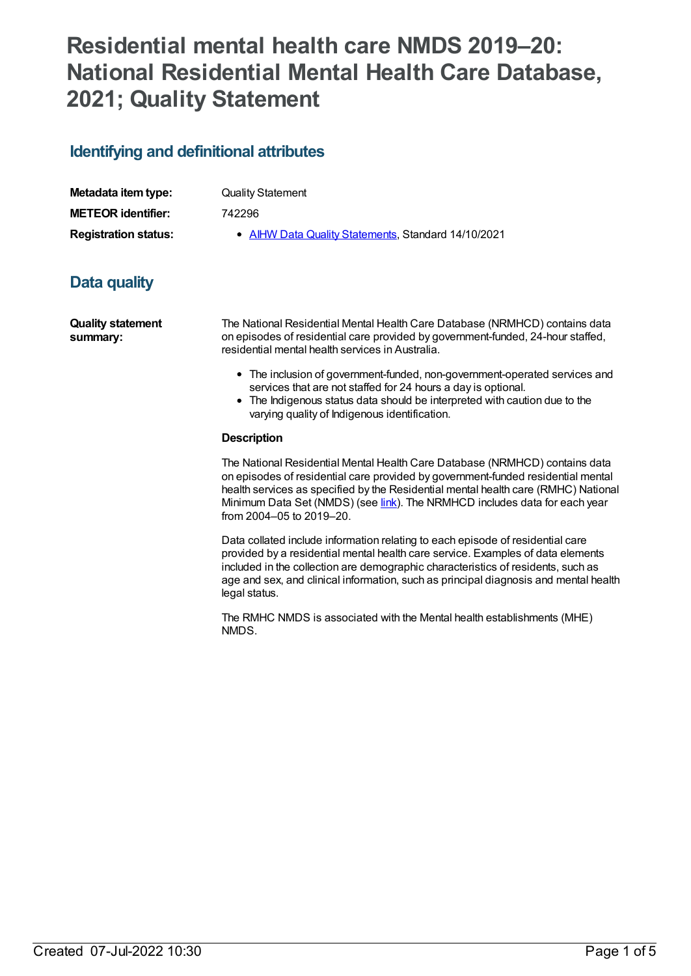# **Residential mental health care NMDS 2019–20: National Residential Mental Health Care Database, 2021; Quality Statement**

## **Identifying and definitional attributes**

| Metadata item type:         |  |
|-----------------------------|--|
| <b>METEOR identifier:</b>   |  |
| <b>Registration status:</b> |  |

**Quality Statement** 

**METEOR identifier:** 742296

**AIHW Data Quality [Statements](https://meteor.aihw.gov.au/RegistrationAuthority/5), Standard 14/10/2021** 

## **Data quality**

**Quality statement summary:**

The National Residential Mental Health Care Database (NRMHCD) contains data on episodes of residential care provided by government-funded, 24-hour staffed, residential mental health services in Australia.

- The inclusion of government-funded, non-government-operated services and services that are not staffed for 24 hours a day is optional.
- The Indigenous status data should be interpreted with caution due to the varying quality of Indigenous identification.

#### **Description**

The National Residential Mental Health Care Database (NRMHCD) contains data on episodes of residential care provided by government-funded residential mental health services as specified by the Residential mental health care (RMHC) National Minimum Data Set (NMDS) (see *[link](file:///content/645718)*). The NRMHCD includes data for each year from 2004–05 to 2019–20.

Data collated include information relating to each episode of residential care provided by a residential mental health care service. Examples of data elements included in the collection are demographic characteristics of residents, such as age and sex, and clinical information, such as principal diagnosis and mental health legal status.

The RMHC NMDS is associated with the Mental health establishments (MHE) NMDS.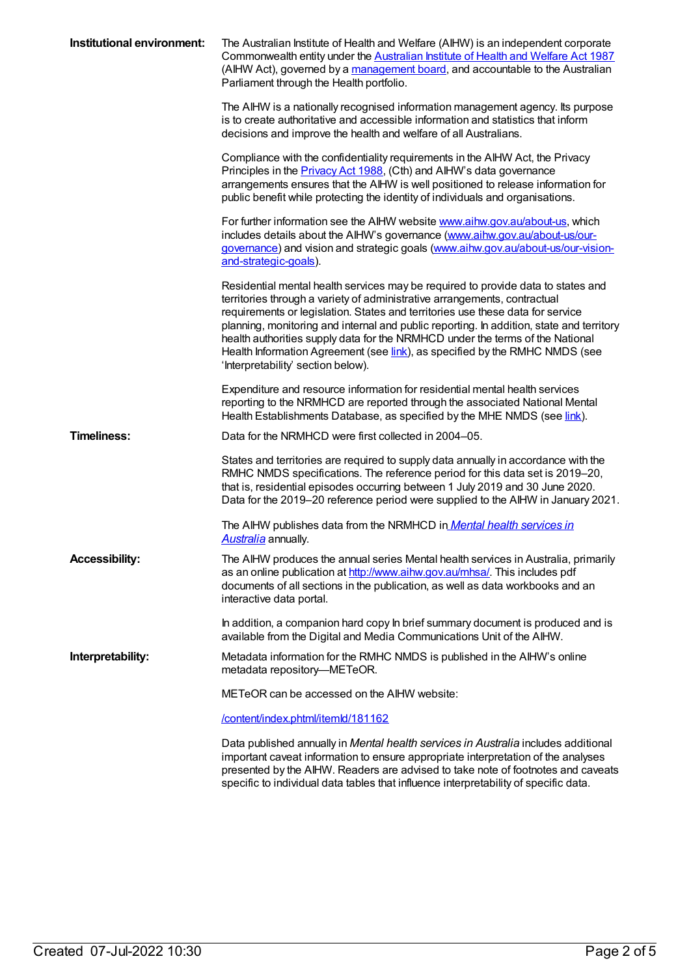| Institutional environment: | The Australian Institute of Health and Welfare (AIHW) is an independent corporate<br>Commonwealth entity under the Australian Institute of Health and Welfare Act 1987<br>(AlHW Act), governed by a management board, and accountable to the Australian<br>Parliament through the Health portfolio.                                                                                                                                                                                                                                                       |
|----------------------------|-----------------------------------------------------------------------------------------------------------------------------------------------------------------------------------------------------------------------------------------------------------------------------------------------------------------------------------------------------------------------------------------------------------------------------------------------------------------------------------------------------------------------------------------------------------|
|                            | The AIHW is a nationally recognised information management agency. Its purpose<br>is to create authoritative and accessible information and statistics that inform<br>decisions and improve the health and welfare of all Australians.                                                                                                                                                                                                                                                                                                                    |
|                            | Compliance with the confidentiality requirements in the AIHW Act, the Privacy<br>Principles in the <b>Privacy Act 1988</b> , (Cth) and AIHW's data governance<br>arrangements ensures that the AIHW is well positioned to release information for<br>public benefit while protecting the identity of individuals and organisations.                                                                                                                                                                                                                       |
|                            | For further information see the AIHW website www.aihw.gov.au/about-us, which<br>includes details about the AIHW's governance (www.aihw.gov.au/about-us/our-<br>governance) and vision and strategic goals (www.aihw.gov.au/about-us/our-vision-<br>and-strategic-goals).                                                                                                                                                                                                                                                                                  |
|                            | Residential mental health services may be required to provide data to states and<br>territories through a variety of administrative arrangements, contractual<br>requirements or legislation. States and territories use these data for service<br>planning, monitoring and internal and public reporting. In addition, state and territory<br>health authorities supply data for the NRMHCD under the terms of the National<br>Health Information Agreement (see <i>link</i> ), as specified by the RMHC NMDS (see<br>'Interpretability' section below). |
|                            | Expenditure and resource information for residential mental health services<br>reporting to the NRMHCD are reported through the associated National Mental<br>Health Establishments Database, as specified by the MHE NMDS (see link).                                                                                                                                                                                                                                                                                                                    |
| <b>Timeliness:</b>         | Data for the NRMHCD were first collected in 2004–05.                                                                                                                                                                                                                                                                                                                                                                                                                                                                                                      |
|                            | States and territories are required to supply data annually in accordance with the<br>RMHC NMDS specifications. The reference period for this data set is 2019-20,<br>that is, residential episodes occurring between 1 July 2019 and 30 June 2020.<br>Data for the 2019-20 reference period were supplied to the AIHW in January 2021.                                                                                                                                                                                                                   |
|                            | The AIHW publishes data from the NRMHCD in <i>Mental health services in</i><br>Australia annually.                                                                                                                                                                                                                                                                                                                                                                                                                                                        |
| <b>Accessibility:</b>      | The AIHW produces the annual series Mental health services in Australia, primarily<br>as an online publication at http://www.aihw.gov.au/mhsa/. This includes pdf<br>documents of all sections in the publication, as well as data workbooks and an<br>interactive data portal.                                                                                                                                                                                                                                                                           |
|                            | In addition, a companion hard copy In brief summary document is produced and is<br>available from the Digital and Media Communications Unit of the AIHW.                                                                                                                                                                                                                                                                                                                                                                                                  |
| Interpretability:          | Metadata information for the RMHC NMDS is published in the AIHW's online<br>metadata repository-METeOR.                                                                                                                                                                                                                                                                                                                                                                                                                                                   |
|                            | METeOR can be accessed on the AIHW website:                                                                                                                                                                                                                                                                                                                                                                                                                                                                                                               |
|                            | /content/index.phtml/itemld/181162                                                                                                                                                                                                                                                                                                                                                                                                                                                                                                                        |
|                            | Data published annually in Mental health services in Australia includes additional<br>important caveat information to ensure appropriate interpretation of the analyses<br>presented by the AIHW. Readers are advised to take note of footnotes and caveats<br>specific to individual data tables that influence interpretability of specific data.                                                                                                                                                                                                       |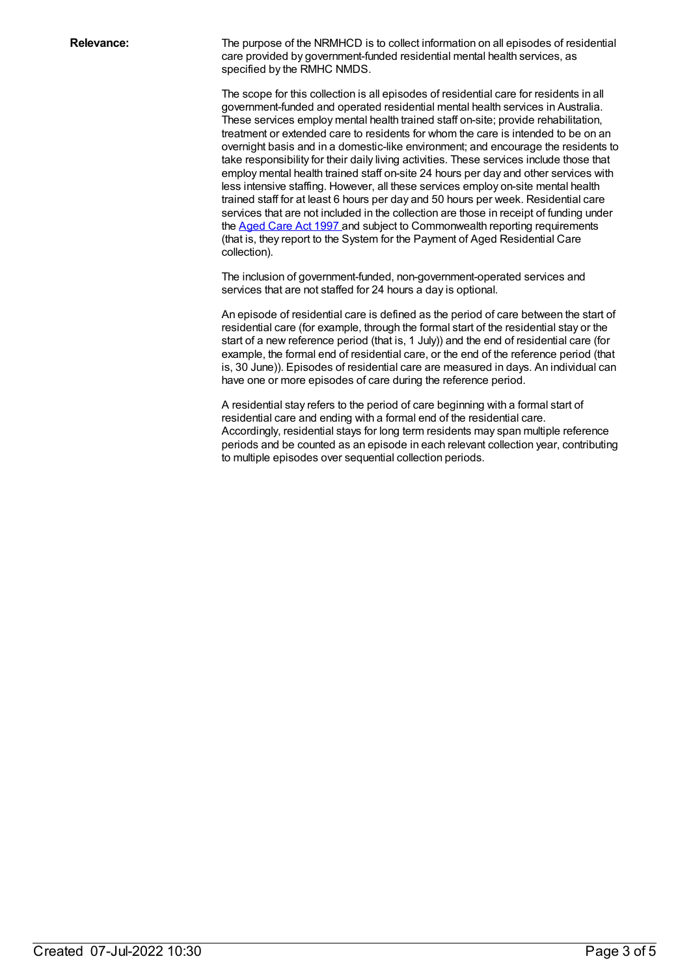**Relevance:** The purpose of the NRMHCD is to collect information on all episodes of residential care provided by government-funded residential mental health services, as specified by the RMHC NMDS.

> The scope for this collection is all episodes of residential care for residents in all government-funded and operated residential mental health services in Australia. These services employ mental health trained staff on-site; provide rehabilitation, treatment or extended care to residents for whom the care is intended to be on an overnight basis and in a domestic-like environment; and encourage the residents to take responsibility for their daily living activities. These services include those that employ mental health trained staff on-site 24 hours per day and other services with less intensive staffing. However, all these services employ on-site mental health trained staff for at least 6 hours per day and 50 hours per week. Residential care services that are not included in the collection are those in receipt of funding under the [Aged](https://www.legislation.gov.au/Details/C2018C00141) Care Act 1997 and subject to Commonwealth reporting requirements (that is, they report to the System for the Payment of Aged Residential Care collection).

The inclusion of government-funded, non-government-operated services and services that are not staffed for 24 hours a day is optional.

An episode of residential care is defined as the period of care between the start of residential care (for example, through the formal start of the residential stay or the start of a new reference period (that is, 1 July)) and the end of residential care (for example, the formal end of residential care, or the end of the reference period (that is, 30 June)). Episodes of residential care are measured in days. An individual can have one or more episodes of care during the reference period.

A residential stay refers to the period of care beginning with a formal start of residential care and ending with a formal end of the residential care. Accordingly, residential stays for long term residents may span multiple reference periods and be counted as an episode in each relevant collection year, contributing to multiple episodes over sequential collection periods.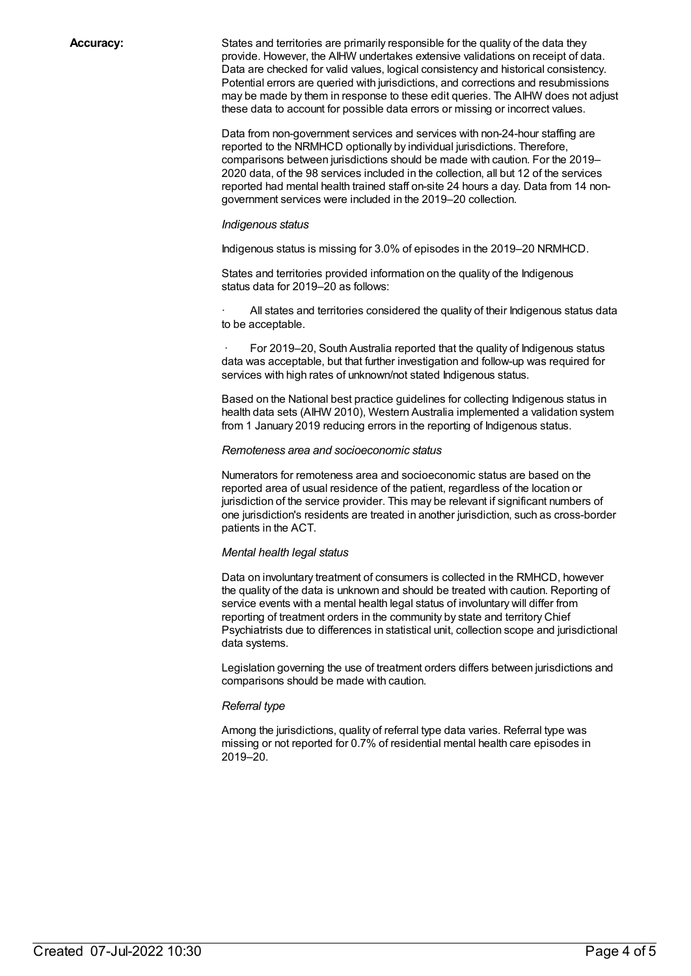**Accuracy:** States and territories are primarily responsible for the quality of the data they provide. However, the AIHW undertakes extensive validations on receipt of data. Data are checked for valid values, logical consistency and historical consistency. Potential errors are queried with jurisdictions, and corrections and resubmissions may be made by them in response to these edit queries. The AIHW does not adjust these data to account for possible data errors or missing or incorrect values.

> Data from non-government services and services with non-24-hour staffing are reported to the NRMHCD optionally by individual jurisdictions. Therefore, comparisons between jurisdictions should be made with caution. For the 2019– 2020 data, of the 98 services included in the collection, all but 12 of the services reported had mental health trained staff on-site 24 hours a day. Data from 14 nongovernment services were included in the 2019–20 collection.

#### *Indigenous status*

Indigenous status is missing for 3.0% of episodes in the 2019–20 NRMHCD.

States and territories provided information on the quality of the Indigenous status data for 2019–20 as follows:

All states and territories considered the quality of their Indigenous status data to be acceptable.

For 2019–20, South Australia reported that the quality of Indigenous status data was acceptable, but that further investigation and follow-up was required for services with high rates of unknown/not stated Indigenous status.

Based on the National best practice guidelines for collecting Indigenous status in health data sets (AIHW 2010), Western Australia implemented a validation system from 1 January 2019 reducing errors in the reporting of Indigenous status.

#### *Remoteness area and socioeconomic status*

Numerators for remoteness area and socioeconomic status are based on the reported area of usual residence of the patient, regardless of the location or jurisdiction of the service provider. This may be relevant if significant numbers of one jurisdiction's residents are treated in another jurisdiction, such as cross-border patients in the ACT.

#### *Mental health legal status*

Data on involuntary treatment of consumers is collected in the RMHCD, however the quality of the data is unknown and should be treated with caution. Reporting of service events with a mental health legal status of involuntary will differ from reporting of treatment orders in the community by state and territory Chief Psychiatrists due to differences in statistical unit, collection scope and jurisdictional data systems.

Legislation governing the use of treatment orders differs between jurisdictions and comparisons should be made with caution.

#### *Referral type*

Among the jurisdictions, quality of referral type data varies. Referral type was missing or not reported for 0.7% of residential mental health care episodes in 2019–20.